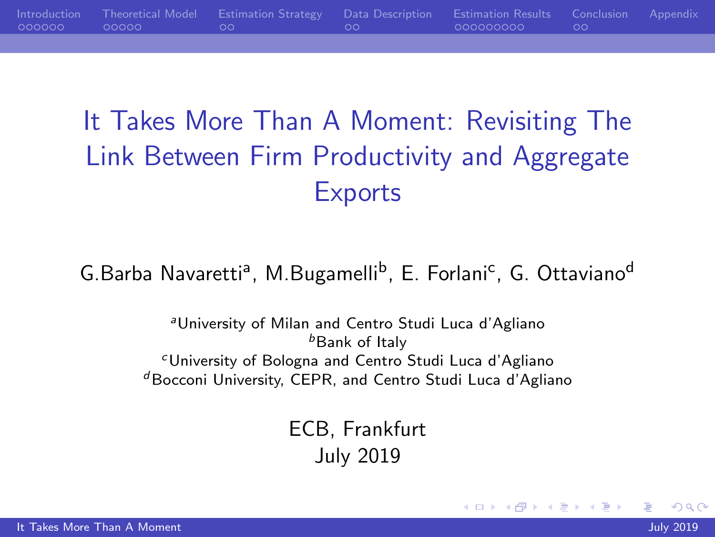<span id="page-0-0"></span>[Introduction](#page-1-0) [Theoretical Model](#page-7-0) [Estimation Strategy](#page-12-0) [Data Description](#page-14-0) [Estimation Results](#page-16-0) [Conclusion](#page-25-0) [Appendix](#page-27-0)  $00000$ 000000000

# It Takes More Than A Moment: Revisiting The Link Between Firm Productivity and Aggregate **Exports**

#### G.Barba Navaretti<sup>a</sup>, M.Bugamelli<sup>b</sup>, E. Forlani<sup>c</sup>, G. Ottaviano<sup>d</sup>

<sup>a</sup>University of Milan and Centro Studi Luca d'Agliano *b***Bank of Italy** <sup>c</sup>University of Bologna and Centro Studi Luca d'Agliano  $d$ Bocconi University, CEPR, and Centro Studi Luca d'Agliano

> ECB, Frankfurt July 2019

 $200$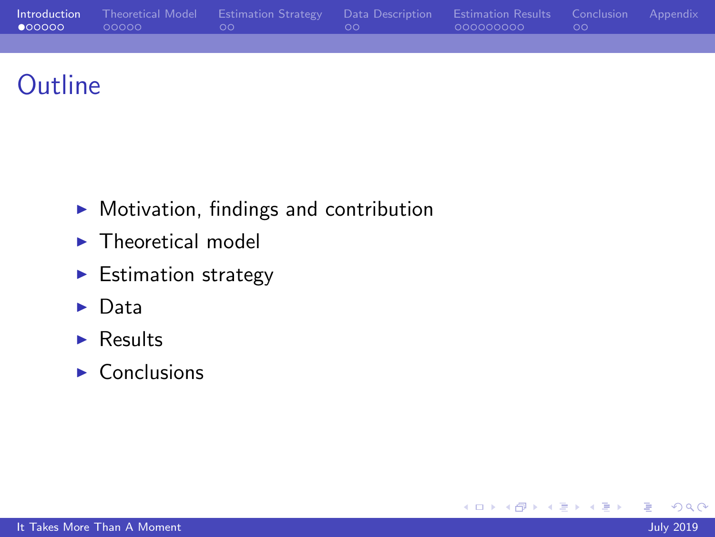<span id="page-1-0"></span>

|  | Introduction Theoretical Model Estimation Strategy Data Description Estimation Results Conclusion Appendix |                             |  |
|--|------------------------------------------------------------------------------------------------------------|-----------------------------|--|
|  | <u>in the second contract of the second second</u>                                                         | - 0000000000 - - - - - 00 - |  |
|  |                                                                                                            |                             |  |

## **Outline**

- $\blacktriangleright$  Motivation, findings and contribution
- $\blacktriangleright$  Theoretical model
- $\blacktriangleright$  Estimation strategy
- $\blacktriangleright$  Data
- $\blacktriangleright$  Results
- $\triangleright$  Conclusions

∍

э

Пb.

 $\sim$ 

4日)

 $QQ$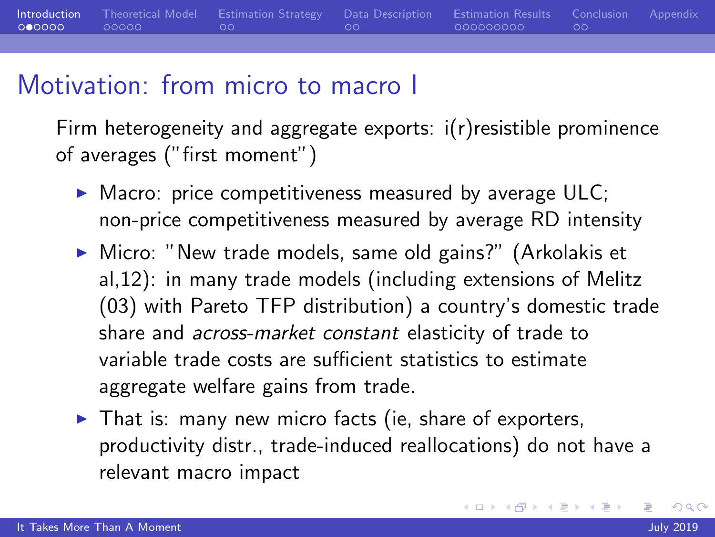**[Introduction](#page-1-0)** [Theoretical Model](#page-7-0) [Estimation Strategy](#page-12-0) [Data Description](#page-14-0) [Estimation Results](#page-16-0) [Conclusion](#page-25-0) [Appendix](#page-27-0)<br>O●0000 00000 0000 00 00 00 00 000000000 00  $00000$ 000000000  $\circ$ 

#### Motivation: from micro to macro I

Firm heterogeneity and aggregate exports: i(r)resistible prominence of averages ("first moment")

- $\triangleright$  Macro: price competitiveness measured by average ULC; non-price competitiveness measured by average RD intensity
- ▶ Micro: "New trade models, same old gains?" (Arkolakis et al,12): in many trade models (including extensions of Melitz (03) with Pareto TFP distribution) a country's domestic trade share and across-market constant elasticity of trade to variable trade costs are sufficient statistics to estimate aggregate welfare gains from trade.
- $\blacktriangleright$  That is: many new micro facts (ie, share of exporters, productivity distr., trade-induced reallocations) do not have a relevant macro impact

 $200$ 

∢ロ ▶ ∢何 ▶ ∢ ヨ ▶ ∢ ヨ ▶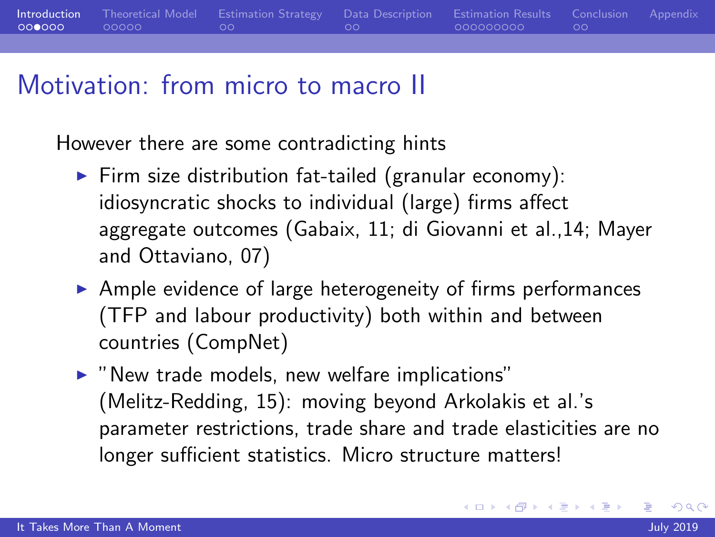

#### Motivation: from micro to macro II

However there are some contradicting hints

- $\blacktriangleright$  Firm size distribution fat-tailed (granular economy): idiosyncratic shocks to individual (large) firms affect aggregate outcomes (Gabaix, 11; di Giovanni et al.,14; Mayer and Ottaviano, 07)
- $\triangleright$  Ample evidence of large heterogeneity of firms performances (TFP and labour productivity) both within and between countries (CompNet)
- $\triangleright$  "New trade models, new welfare implications" (Melitz-Redding, 15): moving beyond Arkolakis et al.'s parameter restrictions, trade share and trade elasticities are no longer sufficient statistics. Micro structure matters!

 $200$ 

**∢ 何 ゝ ∢ ヨ ゝ ィ ヨ ゝ** 。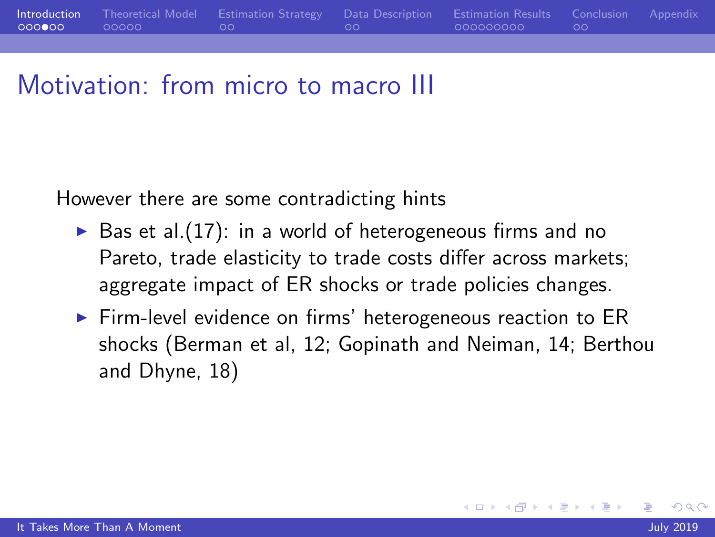

#### Motivation: from micro to macro III

However there are some contradicting hints

- $\triangleright$  Bas et al. (17): in a world of heterogeneous firms and no Pareto, trade elasticity to trade costs differ across markets; aggregate impact of ER shocks or trade policies changes.
- $\triangleright$  Firm-level evidence on firms' heterogeneous reaction to ER shocks (Berman et al, 12; Gopinath and Neiman, 14; Berthou and Dhyne, 18)

 $200$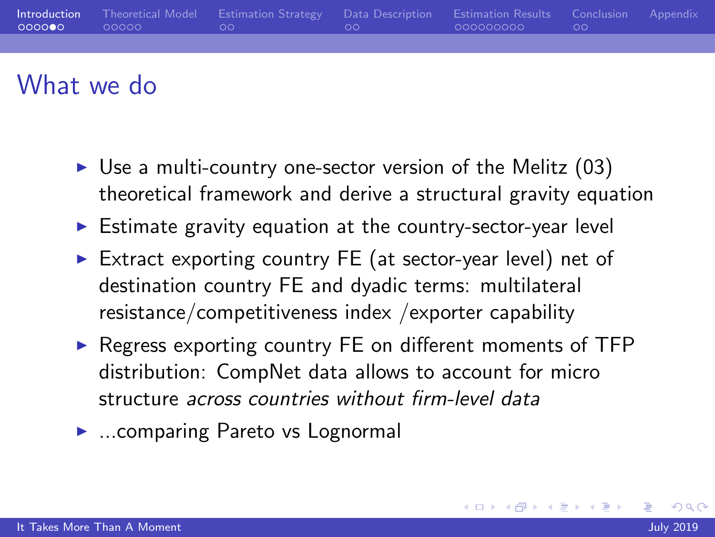| _ ററററ <b>െ</b> _ | Introduction Theoretical Model Estimation Strategy Data Description Estimation Results Conclusion Appendix<br>$\alpha$ 00000 00 00 00 00 0000000000 00 |  |  |
|-------------------|--------------------------------------------------------------------------------------------------------------------------------------------------------|--|--|
|                   |                                                                                                                                                        |  |  |

#### What we do

- $\triangleright$  Use a multi-country one-sector version of the Melitz (03) theoretical framework and derive a structural gravity equation
- $\triangleright$  Estimate gravity equation at the country-sector-year level
- ► Extract exporting country FE (at sector-year level) net of destination country FE and dyadic terms: multilateral resistance/competitiveness index /exporter capability
- $\triangleright$  Regress exporting country FE on different moments of TFP distribution: CompNet data allows to account for micro structure across countries without firm-level data
- ► ...comparing Pareto vs Lognormal

 $\Omega$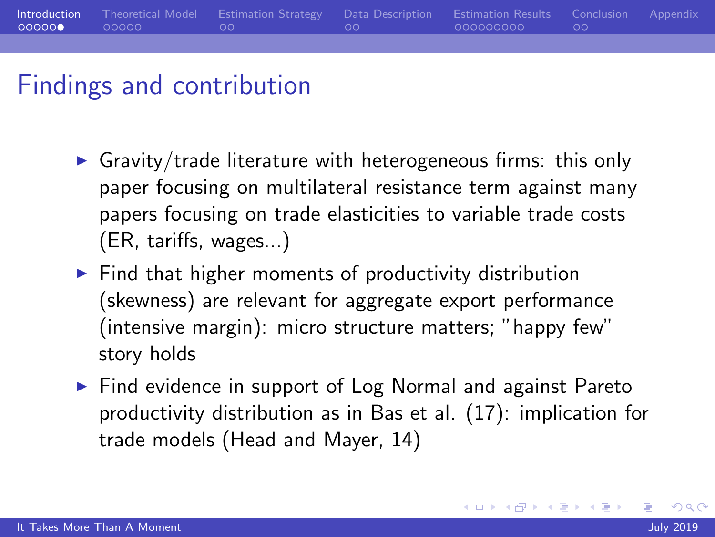<span id="page-6-0"></span>

#### Findings and contribution

- $\triangleright$  Gravity/trade literature with heterogeneous firms: this only paper focusing on multilateral resistance term against many papers focusing on trade elasticities to variable trade costs (ER, tariffs, wages...)
- $\blacktriangleright$  Find that higher moments of productivity distribution (skewness) are relevant for aggregate export performance (intensive margin): micro structure matters; "happy few" story holds
- $\triangleright$  Find evidence in support of Log Normal and against Pareto productivity distribution as in Bas et al. (17): implication for trade models (Head and Mayer, 14)

 $200$ 

**∢ロト ⊀母 ▶ ∢∃ ▶ ∢∃ ▶**..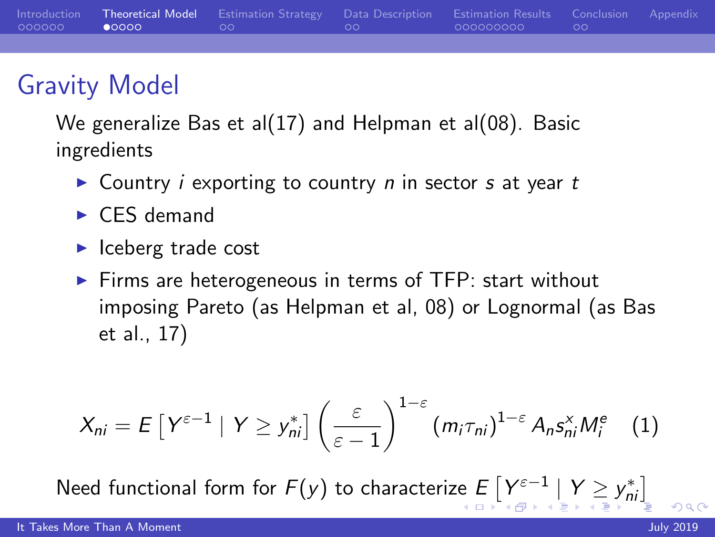## <span id="page-7-0"></span>Gravity Model

We generalize Bas et al(17) and Helpman et al(08). Basic ingredients

- $\triangleright$  Country *i* exporting to country *n* in sector *s* at year *t*
- $\triangleright$  CES demand
- $\blacktriangleright$  Iceberg trade cost
- $\triangleright$  Firms are heterogeneous in terms of TFP: start without imposing Pareto (as Helpman et al, 08) or Lognormal (as Bas et al., 17)

$$
X_{ni} = E\left[Y^{\varepsilon-1} \mid Y \geq y_{ni}^*\right] \left(\frac{\varepsilon}{\varepsilon-1}\right)^{1-\varepsilon} \left(m_i \tau_{ni}\right)^{1-\varepsilon} A_n s_{ni}^{\times} M_i^e \quad (1)
$$

Need functional form for  $F(y)$  $F(y)$  $F(y)$  to characteri[ze](#page-6-0)  $E\left[ Y_{-}^{\varepsilon-1} \mid Y \geq y_{ni}^{\ast} \right]$  $E\left[ Y_{-}^{\varepsilon-1} \mid Y \geq y_{ni}^{\ast} \right]$  $E\left[ Y_{-}^{\varepsilon-1} \mid Y \geq y_{ni}^{\ast} \right]$  $E\left[ Y_{-}^{\varepsilon-1} \mid Y \geq y_{ni}^{\ast} \right]$  $E\left[ Y_{-}^{\varepsilon-1} \mid Y \geq y_{ni}^{\ast} \right]$  $E\left[ Y_{-}^{\varepsilon-1} \mid Y \geq y_{ni}^{\ast} \right]$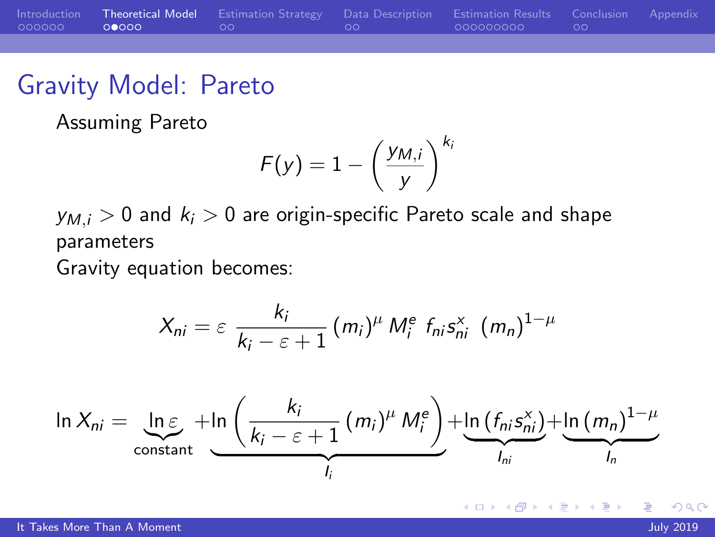<span id="page-8-0"></span>

|                | Introduction Theoretical Model Estimation Strategy Data Description Estimation Results Conclusion Appendix |  |  |
|----------------|------------------------------------------------------------------------------------------------------------|--|--|
| 000000 00000 0 |                                                                                                            |  |  |
|                |                                                                                                            |  |  |

#### Gravity Model: Pareto

Assuming Pareto

$$
F(y) = 1 - \left(\frac{y_{M,i}}{y}\right)^{k_i}
$$

 $y_{M,i} > 0$  and  $k_i > 0$  are origin-specific Pareto scale and shape parameters

Gravity equation becomes:

$$
X_{ni} = \varepsilon \frac{k_i}{k_i - \varepsilon + 1} (m_i)^{\mu} M_i^e f_{ni} s_{ni}^{\times} (m_n)^{1-\mu}
$$
  

$$
\ln X_{ni} = \underbrace{\ln \varepsilon}_{\text{constant}} + \underbrace{\ln \left( \frac{k_i}{k_i - \varepsilon + 1} (m_i)^{\mu} M_i^e \right)}_{l_i} + \underbrace{\ln (f_{ni} s_{ni}^{\times})}_{l_{ni}} + \underbrace{\ln (m_n)^{1-\mu}}_{l_n}
$$

つくい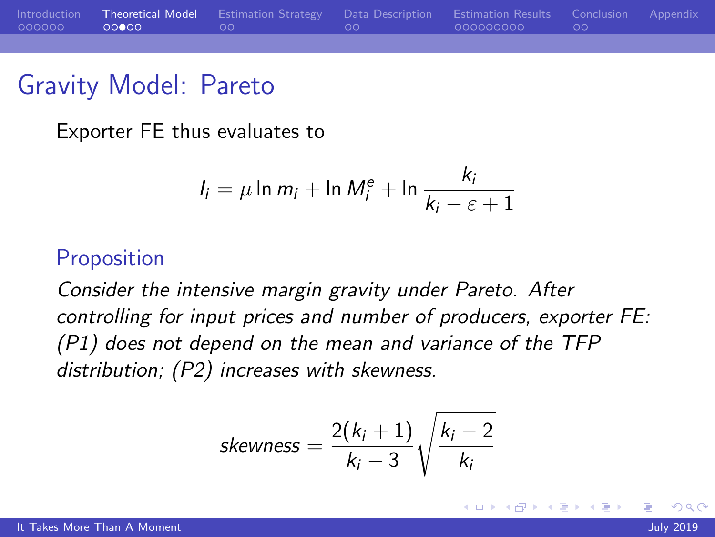

#### Gravity Model: Pareto

Exporter FE thus evaluates to

$$
I_i = \mu \ln m_i + \ln M_i^e + \ln \frac{k_i}{k_i - \varepsilon + 1}
$$

#### **Proposition**

Consider the intensive margin gravity under Pareto. After controlling for input prices and number of producers, exporter FE: (P1) does not depend on the mean and variance of the TFP distribution; (P2) increases with skewness.

$$
skewness = \frac{2(k_i+1)}{k_i-3} \sqrt{\frac{k_i-2}{k_i}}
$$

 $200$ 

ヨメ メヨメ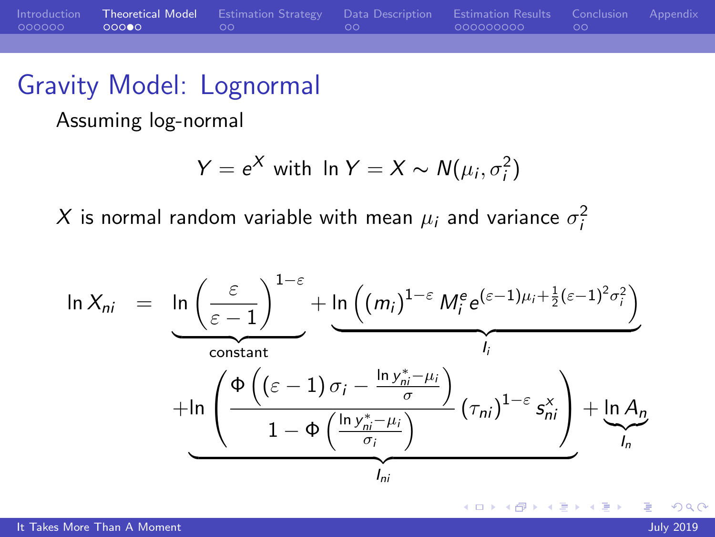|              | Introduction Theoretical Model Estimation Strategy Data Description Estimation Results Conclusion Appendix |  |  |
|--------------|------------------------------------------------------------------------------------------------------------|--|--|
| 000000 00000 |                                                                                                            |  |  |
|              |                                                                                                            |  |  |

#### Gravity Model: Lognormal

Assuming log-normal

$$
Y = e^X \text{ with } \ln Y = X \sim N(\mu_i, \sigma_i^2)
$$

 $X$  is normal random variable with mean  $\mu_i$  and variance  $\sigma_i^2$ 

$$
\ln X_{ni} = \underbrace{\ln \left(\frac{\varepsilon}{\varepsilon - 1}\right)^{1-\varepsilon}}_{\text{constant}} + \underbrace{\ln \left((m_{i})^{1-\varepsilon} M_{i}^{\varepsilon} e^{(\varepsilon - 1)\mu_{i} + \frac{1}{2}(\varepsilon - 1)^{2} \sigma_{i}^{2}}\right)}_{I_{i}} + \underbrace{\ln \left(\frac{\Phi\left((\varepsilon - 1) \sigma_{i} - \frac{\ln y_{ni}^{*} - \mu_{i}}{\sigma}\right)}{1-\Phi\left(\frac{\ln y_{ni}^{*} - \mu_{i}}{\sigma_{i}}\right)}_{I_{ni}} \left(\tau_{ni}\right)^{1-\varepsilon} s_{ni}^{x}\right)}_{I_{n}} + \underbrace{\ln A_{n}}_{I_{n}}
$$

 $\sim$   $\sim$ 

つくい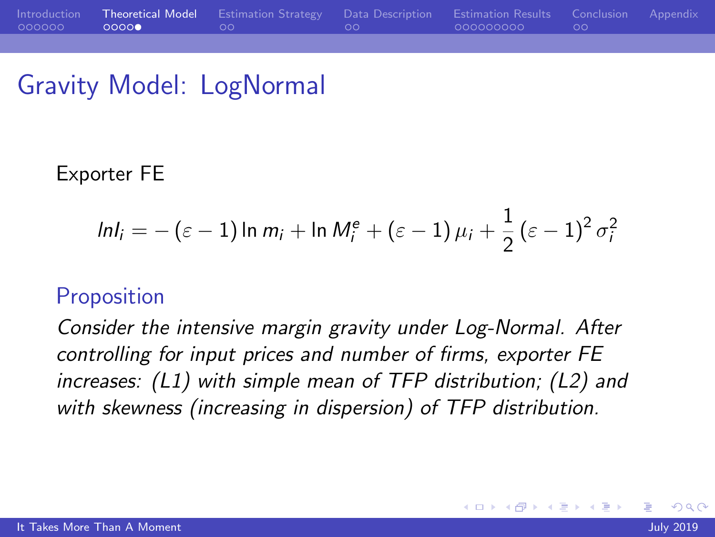## <span id="page-11-0"></span>Gravity Model: LogNormal

#### Exporter FE

$$
ln I_i = -(\varepsilon - 1) \ln m_i + \ln M_i^e + (\varepsilon - 1) \mu_i + \frac{1}{2} (\varepsilon - 1)^2 \sigma_i^2
$$

#### **Proposition**

Consider the intensive margin gravity under Log-Normal. After controlling for input prices and number of firms, exporter FE increases: (L1) with simple mean of TFP distribution; (L2) and with skewness (increasing in dispersion) of TFP distribution.

 $200$ 

∍

化重新润滑脂

4 **EL F**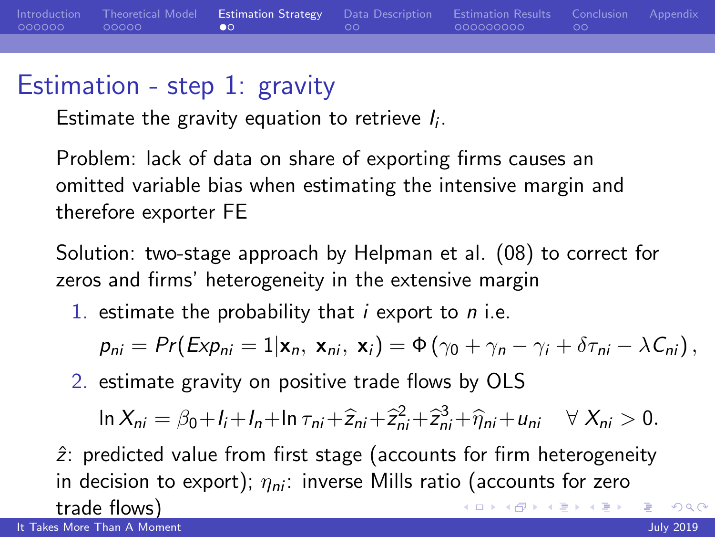<span id="page-12-0"></span>

|                           | Introduction Theoretical Model Estimation Strategy Data Description Estimation Results Conclusion Appendix |  |  |
|---------------------------|------------------------------------------------------------------------------------------------------------|--|--|
| 000000 00000 <b>00</b> 00 |                                                                                                            |  |  |
|                           |                                                                                                            |  |  |

## Estimation - step 1: gravity

Estimate the gravity equation to retrieve  $I_i$ .

Problem: lack of data on share of exporting firms causes an omitted variable bias when estimating the intensive margin and therefore exporter FE

Solution: two-stage approach by Helpman et al. (08) to correct for zeros and firms' heterogeneity in the extensive margin

1. estimate the probability that  $i$  export to  $n$  i.e.

$$
p_{ni} = Pr(Exp_{ni} = 1|\mathbf{x}_n, \mathbf{x}_{ni}, \mathbf{x}_i) = \Phi(\gamma_0 + \gamma_n - \gamma_i + \delta \tau_{ni} - \lambda C_{ni}),
$$

2. estimate gravity on positive trade flows by OLS

$$
\ln X_{ni} = \beta_0 + I_i + I_n + \ln \tau_{ni} + \widehat{z}_{ni} + \widehat{z}_{ni}^2 + \widehat{z}_{ni}^3 + \widehat{\eta}_{ni} + u_{ni} \quad \forall \ X_{ni} > 0.
$$

 $\hat{z}$ : predicted value from first stage (accounts for firm heterogeneity in decision to export);  $\eta_{ni}$ : inverse Mills ratio (accounts for zero trade flows)

[It Takes More Than A Moment](#page-0-0) July 2019

 $200$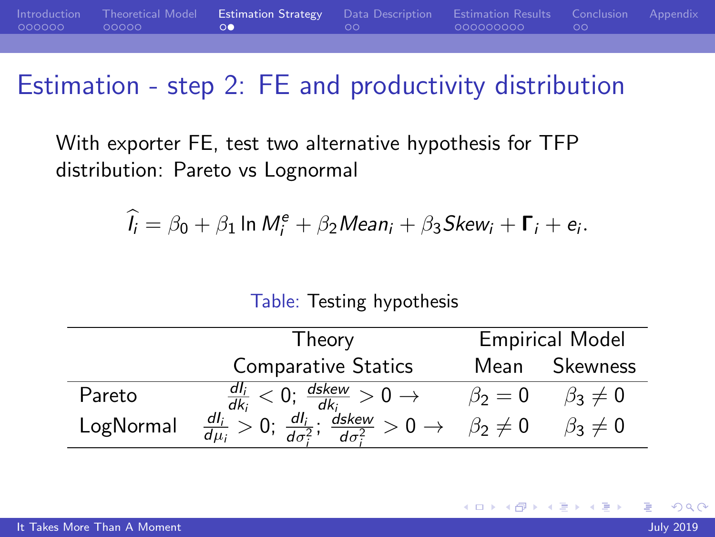<span id="page-13-0"></span>

|                      | Introduction Theoretical Model Estimation Strategy Data Description Estimation Results Conclusion Appendix |  |  |
|----------------------|------------------------------------------------------------------------------------------------------------|--|--|
| $000000$ 00000 00000 |                                                                                                            |  |  |
|                      |                                                                                                            |  |  |

## Estimation - step 2: FE and productivity distribution

With exporter FE, test two alternative hypothesis for TFP distribution: Pareto vs Lognormal

$$
\widehat{l_i} = \beta_0 + \beta_1 \ln M_i^e + \beta_2 Mean_i + \beta_3 Skew_i + \Gamma_i + e_i.
$$

#### Table: Testing hypothesis

|           | I heory                                                                                                    | <b>Empirical Model</b> |                  |  |  |
|-----------|------------------------------------------------------------------------------------------------------------|------------------------|------------------|--|--|
|           | <b>Comparative Statics</b>                                                                                 | Mean                   | <b>Skewness</b>  |  |  |
| Pareto    | $\frac{dI_i}{dk_i} < 0$ ; $\frac{dskew}{dk_i} > 0 \rightarrow$                                             | $\beta_2=0$            | $\beta_3 \neq 0$ |  |  |
| LogNormal | $\frac{dI_i}{d\mu_i} > 0$ ; $\frac{dI_i}{d\sigma^2}$ ;<br>$\frac{d\text{skew}}{d\sigma^2} > 0 \rightarrow$ | $\beta_2\neq 0$        | $\beta_3\neq 0$  |  |  |

つくい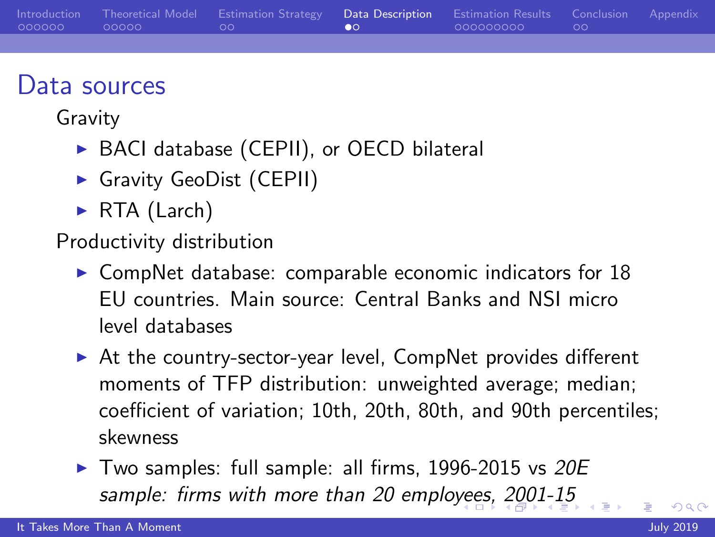<span id="page-14-0"></span>

|  | Introduction Theoretical Model Estimation Strategy Data Description Estimation Results Conclusion Appendix |  |  |
|--|------------------------------------------------------------------------------------------------------------|--|--|
|  |                                                                                                            |  |  |

#### Data sources

Gravity

- ▶ BACI database (CEPII), or OECD bilateral
- Gravity GeoDist (CEPII)
- $\triangleright$  RTA (Larch)

Productivity distribution

- $\triangleright$  CompNet database: comparable economic indicators for 18 EU countries. Main source: Central Banks and NSI micro level databases
- $\triangleright$  At the country-sector-year level, CompNet provides different moments of TFP distribution: unweighted average; median; coefficient of variation; 10th, 20th, 80th, and 90th percentiles; skewness
- $\blacktriangleright$  Two samples: full sample: all firms, 1996-2015 vs 20E sample: firms with more than 20 emplo[yee](#page-13-0)[s,](#page-15-0) [2](#page-13-0)[00](#page-14-0)[1](#page-15-0)[-](#page-13-0)[1](#page-14-0)[5](#page-15-0)

 $\Omega$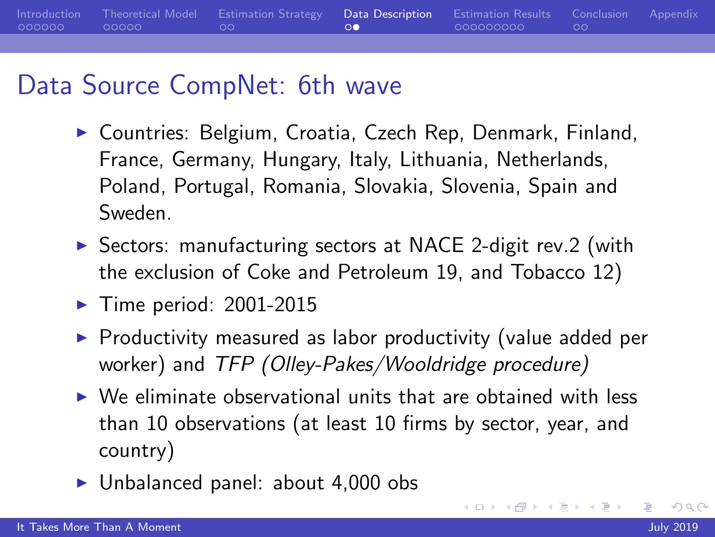<span id="page-15-0"></span>[Introduction](#page-1-0) [Theoretical Model](#page-7-0) [Estimation Strategy](#page-12-0) [Data Description](#page-14-0) [Estimation Results](#page-16-0) [Conclusion](#page-25-0) [Appendix](#page-27-0)  $000000$  $00000$  $\circ$ 000000000  $\circ$ 

## Data Source CompNet: 6th wave

- ▶ Countries: Belgium, Croatia, Czech Rep, Denmark, Finland, France, Germany, Hungary, Italy, Lithuania, Netherlands, Poland, Portugal, Romania, Slovakia, Slovenia, Spain and Sweden.
- $\triangleright$  Sectors: manufacturing sectors at NACE 2-digit rev.2 (with the exclusion of Coke and Petroleum 19, and Tobacco 12)
- $\blacktriangleright$  Time period: 2001-2015
- $\triangleright$  Productivity measured as labor productivity (value added per worker) and TFP (Olley-Pakes/Wooldridge procedure)
- $\triangleright$  We eliminate observational units that are obtained with less than 10 observations (at least 10 firms by sector, year, and country)
- $\blacktriangleright$  Unbalanced panel: about 4,000 obs

 $200$ 

∢ロ ▶ ∢何 ▶ ∢ ヨ ▶ ∢ ヨ ▶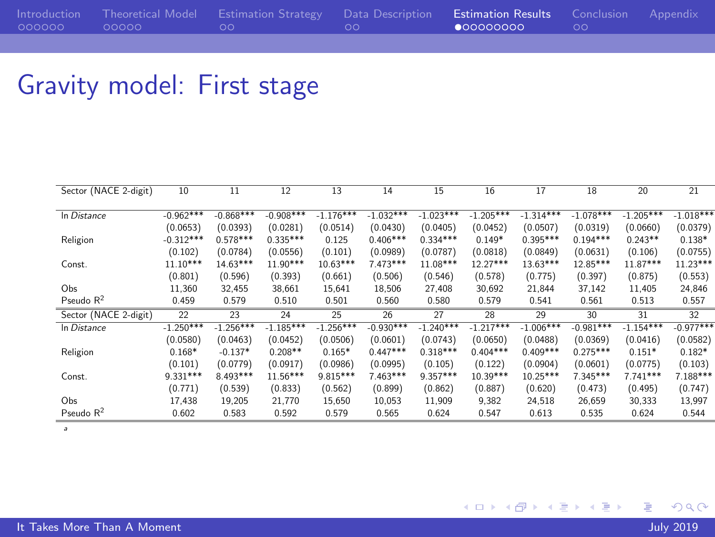#### <span id="page-16-0"></span>Gravity model: First stage

| Sector (NACE 2-digit) | 10          | 11          | 12          | 13          | 14          | 15          | 16          | 17          | 18          | 20          | 21          |
|-----------------------|-------------|-------------|-------------|-------------|-------------|-------------|-------------|-------------|-------------|-------------|-------------|
| In Distance           | $-0.962***$ | $-0.868***$ | $-0.908***$ | $-1.176***$ | $-1.032***$ | $-1.023***$ | $-1.205***$ | $-1.314***$ | $-1.078***$ | $-1.205***$ | $-1.018***$ |
|                       | (0.0653)    | (0.0393)    | (0.0281)    | (0.0514)    | (0.0430)    | (0.0405)    | (0.0452)    | (0.0507)    | (0.0319)    | (0.0660)    | (0.0379)    |
| Religion              | $-0.312***$ | $0.578***$  | $0.335***$  | 0.125       | $0.406***$  | $0.334***$  | $0.149*$    | $0.395***$  | $0.194***$  | $0.243**$   | $0.138*$    |
|                       | (0.102)     | (0.0784)    | (0.0556)    | (0.101)     | (0.0989)    | (0.0787)    | (0.0818)    | (0.0849)    | (0.0631)    | (0.106)     | (0.0755)    |
| Const.                | $11.10***$  | $14.63***$  | $11.90***$  | $10.63***$  | 7.473 ***   | 11.08***    | 12.27***    | $13.63***$  | 12.85***    | 11.87***    | $11.23***$  |
|                       | (0.801)     | (0.596)     | (0.393)     | (0.661)     | (0.506)     | (0.546)     | (0.578)     | (0.775)     | (0.397)     | (0.875)     | (0.553)     |
| Obs                   | 11.360      | 32.455      | 38,661      | 15.641      | 18,506      | 27.408      | 30.692      | 21.844      | 37.142      | 11.405      | 24,846      |
| Pseudo $R^2$          | 0.459       | 0.579       | 0.510       | 0.501       | 0.560       | 0.580       | 0.579       | 0.541       | 0.561       | 0.513       | 0.557       |
| Sector (NACE 2-digit) | 22          | 23          | 24          | 25          | 26          | 27          | 28          | 29          | 30          | 31          | 32          |
| In Distance           | $-1.250***$ | $-1.256***$ | $-1.185***$ | $-1.256***$ | $-0.930***$ | $-1.240***$ | $-1.217***$ | $-1.006***$ | $-0.981***$ | $-1.154***$ | $-0.977***$ |
|                       | (0.0580)    | (0.0463)    | (0.0452)    | (0.0506)    | (0.0601)    | (0.0743)    | (0.0650)    | (0.0488)    | (0.0369)    | (0.0416)    | (0.0582)    |
| Religion              | $0.168*$    | $-0.137*$   | $0.208**$   | $0.165*$    | $0.447***$  | $0.318***$  | $0.404***$  | $0.409***$  | $0.275***$  | $0.151*$    | $0.182*$    |
|                       | (0.101)     | (0.0779)    | (0.0917)    | (0.0986)    | (0.0995)    | (0.105)     | (0.122)     | (0.0904)    | (0.0601)    | (0.0775)    | (0.103)     |
| Const.                | $9.331***$  | 8.493***    | $11.56***$  | 9.815***    | $7.463***$  | $9.357***$  | $10.39***$  | $10.25***$  | 7.345***    | $7.741***$  | 7.188***    |
|                       | (0.771)     | (0.539)     | (0.833)     | (0.562)     | (0.899)     | (0.862)     | (0.887)     | (0.620)     | (0.473)     | (0.495)     | (0.747)     |
| Obs                   | 17,438      | 19,205      | 21.770      | 15,650      | 10,053      | 11,909      | 9.382       | 24,518      | 26,659      | 30,333      | 13,997      |
| Pseudo $R^2$          | 0.602       | 0.583       | 0.592       | 0.579       | 0.565       | 0.624       | 0.547       | 0.613       | 0.535       | 0.624       | 0.544       |

a

 $299$ 

目

**K ロト K 御 ト K 君 ト K 君 ト**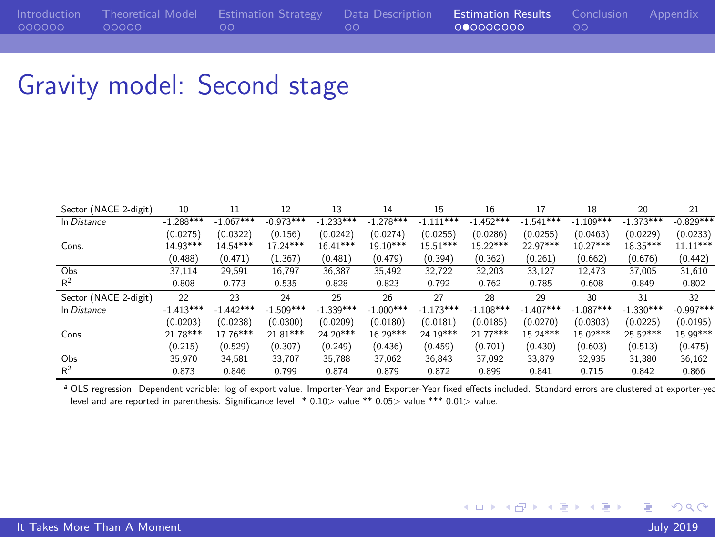## Gravity model: Second stage

| Sector (NACE 2-digit) | 10          | 11          | 12          | 13          | 14          | 15          | 16          | 17          | 18          | 20          | 21          |
|-----------------------|-------------|-------------|-------------|-------------|-------------|-------------|-------------|-------------|-------------|-------------|-------------|
| In Distance           | $-1.288***$ | $-1.067***$ | $-0.973***$ | $-1.233***$ | $-1.278***$ | $-1.111***$ | $-1.452***$ | $-1.541***$ | $-1.109***$ | $-1.373***$ | $-0.829***$ |
|                       | (0.0275)    | (0.0322)    | (0.156)     | (0.0242)    | (0.0274)    | (0.0255)    | (0.0286)    | (0.0255)    | (0.0463)    | (0.0229)    | (0.0233)    |
| Cons.                 | 14.93***    | $14.54***$  | 17.24 ***   | $16.41***$  | 19.10***    | 15.51***    | 15 22***    | 22.97***    | $10.27***$  | $18.35***$  | $11.11***$  |
|                       | (0.488)     | (0.471)     | (1.367)     | (0.481)     | (0.479)     | (0.394)     | (0.362)     | (0.261)     | (0.662)     | (0.676)     | (0.442)     |
| Obs                   | 37.114      | 29.591      | 16.797      | 36.387      | 35.492      | 32.722      | 32.203      | 33.127      | 12.473      | 37.005      | 31.610      |
| R <sup>2</sup>        | 0.808       | 0.773       | 0.535       | 0.828       | 0.823       | 0.792       | 0.762       | 0.785       | 0.608       | 0.849       | 0.802       |
| Sector (NACE 2-digit) | 22          | 23          | 24          | 25          | 26          | 27          | 28          | 29          | 30          | 31          | 32          |
| In Distance           | $-1.413***$ | $-1.442***$ | $-1.509***$ | $-1.339***$ | $-1.000***$ | $-1.173***$ | $-1.108***$ | $-1.407***$ | $-1.087***$ | $-1.330***$ | $-0.997***$ |
|                       | (0.0203)    | (0.0238)    | (0.0300)    | (0.0209)    | (0.0180)    | (0.0181)    | (0.0185)    | (0.0270)    | (0.0303)    | (0.0225)    | (0.0195)    |
| Cons.                 | 21.78***    | $17.76***$  | 21.81***    | 24.20***    | $16.29***$  | 24.19***    | 21.77***    | 15 24***    | 15.02***    | 25.52***    | $15.99***$  |
|                       | (0.215)     | (0.529)     | (0.307)     | (0.249)     | (0.436)     | (0.459)     | (0.701)     | (0.430)     | (0.603)     | (0.513)     | (0.475)     |
| Obs                   | 35.970      | 34.581      | 33.707      | 35.788      | 37.062      | 36.843      | 37.092      | 33.879      | 32.935      | 31.380      | 36,162      |
| R <sup>2</sup>        | 0.873       | 0.846       | 0.799       | 0.874       | 0.879       | 0.872       | 0.899       | 0.841       | 0.715       | 0.842       | 0.866       |

a OLS regression. Dependent variable: log of export value. Importer-Year and Exporter-Year fixed effects included. Standard errors are clustered at exporter-yea level and are reported in parenthesis. Significance level: \* 0.10<sup>&</sup>gt; value \*\* 0.05<sup>&</sup>gt; value \*\*\* 0.01<sup>&</sup>gt; value.

目

メロトメ部 トメミトメミト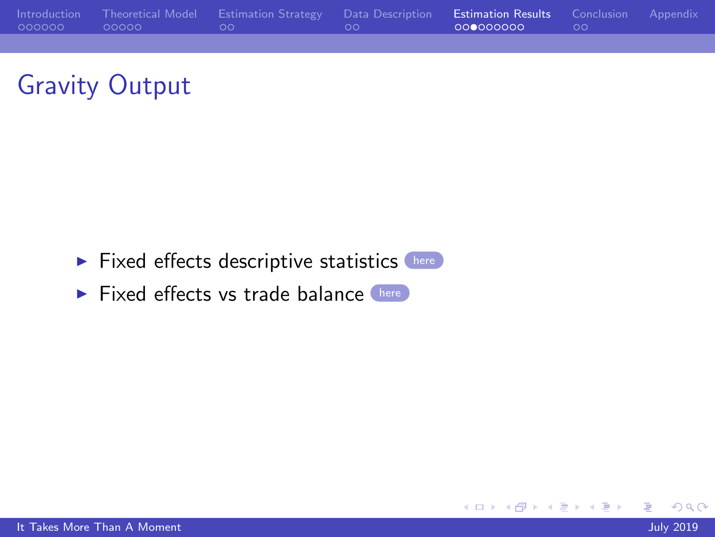



- <span id="page-18-0"></span> $\blacktriangleright$  Fixed effects descriptive statistics  $\left($  [here](#page-27-1)
- $\blacktriangleright$  Fixed effects vs trade balance  $\rule{1em}{0.15mm}$  [here](#page-28-0)

 $299$ 

目

メロトメ 御 トメ 君 トメ 君 ト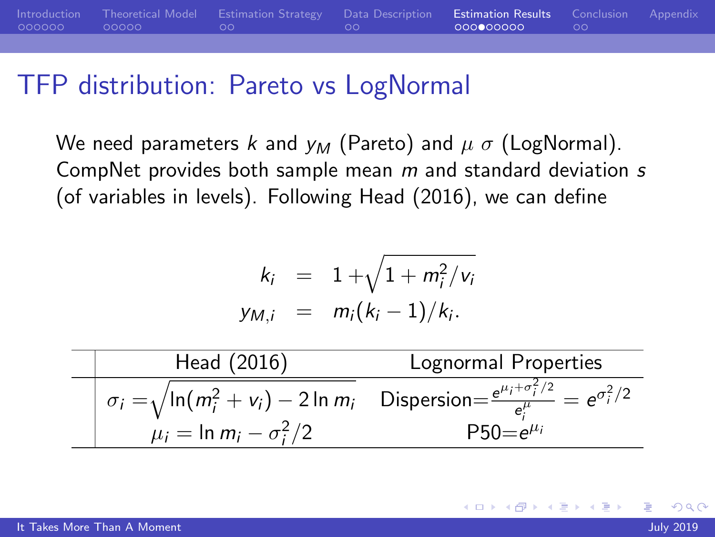|                            | Introduction Theoretical Model Estimation Strategy Data Description Estimation Results Conclusion Appendix |               |  |
|----------------------------|------------------------------------------------------------------------------------------------------------|---------------|--|
| $000000$ $00000$ $00$ $00$ | <b><i>CONTRACTOR COMMAND</i></b>                                                                           | 0000000000 00 |  |

#### TFP distribution: Pareto vs LogNormal

We need parameters k and  $y_M$  (Pareto) and  $\mu \sigma$  (LogNormal). CompNet provides both sample mean  $m$  and standard deviation  $s$ (of variables in levels). Following Head (2016), we can define

$$
k_i = 1 + \sqrt{1 + m_i^2/v_i}
$$
  

$$
y_{M,i} = m_i(k_i - 1)/k_i.
$$

| Head (2016)                      | Lognormal Properties                                                                                                                                          |
|----------------------------------|---------------------------------------------------------------------------------------------------------------------------------------------------------------|
| $\mu_i = \ln m_i - \sigma_i^2/2$ | $\frac{1}{2} \sigma_i = \sqrt{\ln(m_i^2 + v_i) - 2 \ln m_i}$ Dispersion= $\frac{e^{\mu_i + \sigma_i^2/2}}{e^{\mu_i}} = e^{\sigma_i^2/2}$<br>$P50 = e^{\mu_i}$ |

 $\Omega$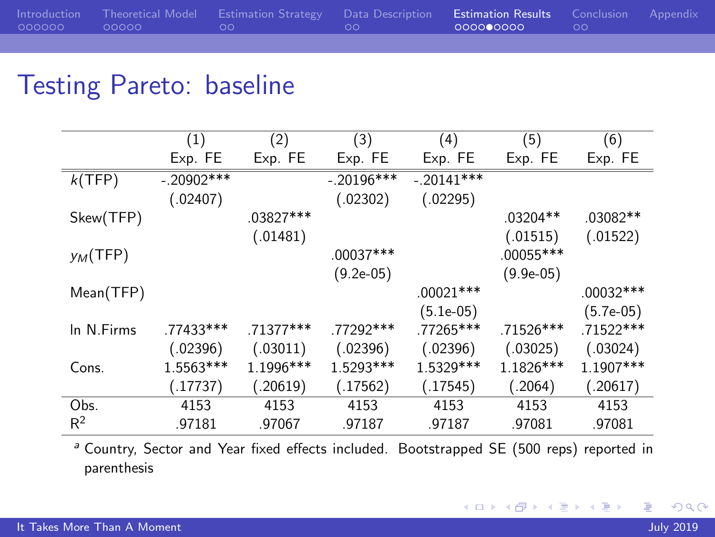|                   | Introduction Theoretical Model Estimation Strategy Data Description Estimation Results Conclusion Appendix              |                      |  |
|-------------------|-------------------------------------------------------------------------------------------------------------------------|----------------------|--|
| adaada adaaa - ad | <u>in the community of the community of the community of the community of the community of the community of the com</u> | <b>COOOOOOOOO OO</b> |  |
|                   |                                                                                                                         |                      |  |

#### Testing Pareto: baseline

|             | (1)          | (2)       | (3)          | (4)          | (5)         | (6)         |
|-------------|--------------|-----------|--------------|--------------|-------------|-------------|
|             | Exp. FE      | Exp. FE   | Exp. FE      | Exp. FE      | Exp. FE     | Exp. FE     |
| k(TFP)      | $-.20902***$ |           | $-.20196***$ | $-.20141***$ |             |             |
|             | (.02407)     |           | (.02302)     | (.02295)     |             |             |
| Skew(TFP)   |              | .03827*** |              |              | $.03204**$  | $.03082**$  |
|             |              | (.01481)  |              |              | (.01515)    | (.01522)    |
| $y_M$ (TFP) |              |           | $.00037***$  |              | $.00055***$ |             |
|             |              |           | $(9.2e-05)$  |              | $(9.9e-05)$ |             |
| Mean(TFP)   |              |           |              | $.00021***$  |             | .00032 ***  |
|             |              |           |              | $(5.1e-05)$  |             | $(5.7e-05)$ |
| In N.Firms  | .77433 ***   | .71377*** | .77292***    | .77265***    | .71526***   | $.71522***$ |
|             | (.02396)     | (.03011)  | (.02396)     | (.02396)     | (.03025)    | (.03024)    |
| Cons.       | 1.5563***    | 1.1996*** | 1.5293***    | 1.5329 ***   | 1.1826 ***  | 1.1907***   |
|             | (.17737)     | (.20619)  | (.17562)     | (.17545)     | (.2064)     | (.20617)    |
| Obs.        | 4153         | 4153      | 4153         | 4153         | 4153        | 4153        |
| $R^2$       | .97181       | .97067    | .97187       | .97187       | .97081      | .97081      |

<sup>a</sup> Country, Sector and Year fixed effects included. Bootstrapped SE (500 reps) reported in parenthesis

4日下

4 伊 ト 4

ヨメ メヨメ

э

 $299$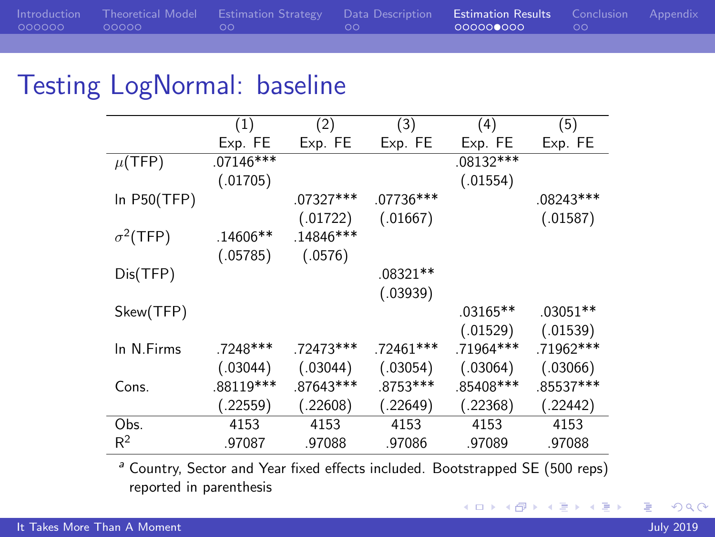|              | Introduction Theoretical Model Estimation Strategy Data Description Estimation Results Conclusion Appendix |           |      |  |
|--------------|------------------------------------------------------------------------------------------------------------|-----------|------|--|
| 000000 00000 | <u>in the second community of the community of the second second</u>                                       | 000000000 | ം ററ |  |

#### Testing LogNormal: baseline

|                  | (1)         | (2)         | (3)         | (4)        | (5)        |
|------------------|-------------|-------------|-------------|------------|------------|
|                  | Exp. FE     | Exp. FE     | Exp. FE     | Exp. FE    | Exp. FE    |
| $\mu$ (TFP)      | $.07146***$ |             |             | .08132 *** |            |
|                  | (.01705)    |             |             | (.01554)   |            |
| In $P50(TFP)$    |             | .07327***   | .07736***   |            | .08243***  |
|                  |             | (.01722)    | (.01667)    |            | (.01587)   |
| $\sigma^2$ (TFP) | $.14606**$  | $.14846***$ |             |            |            |
|                  | (.05785)    | (.0576)     |             |            |            |
| Dis(TFP)         |             |             | .08321**    |            |            |
|                  |             |             | (.03939)    |            |            |
| Skew(TFP)        |             |             |             | $.03165**$ | $.03051**$ |
|                  |             |             |             | (.01529)   | (.01539)   |
| In N.Firms       | .7248***    | .72473 ***  | $.72461***$ | .71964***  | .71962 *** |
|                  | (.03044)    | (.03044)    | (.03054)    | (.03064)   | (.03066)   |
| Cons.            | .88119***   | .87643 ***  | .8753***    | .85408 *** | .85537***  |
|                  | (.22559)    | (.22608)    | (.22649)    | (.22368)   | (.22442)   |
| Obs.             | 4153        | 4153        | 4153        | 4153       | 4153       |
| $R^2$            | .97087      | .97088      | .97086      | .97089     | .97088     |

<sup>a</sup> Country, Sector and Year fixed effects included. Bootstrapped SE (500 reps) reported in parenthesis

つくへ

E

경기 지경기

**K ロ ▶ K 伊 ▶ K**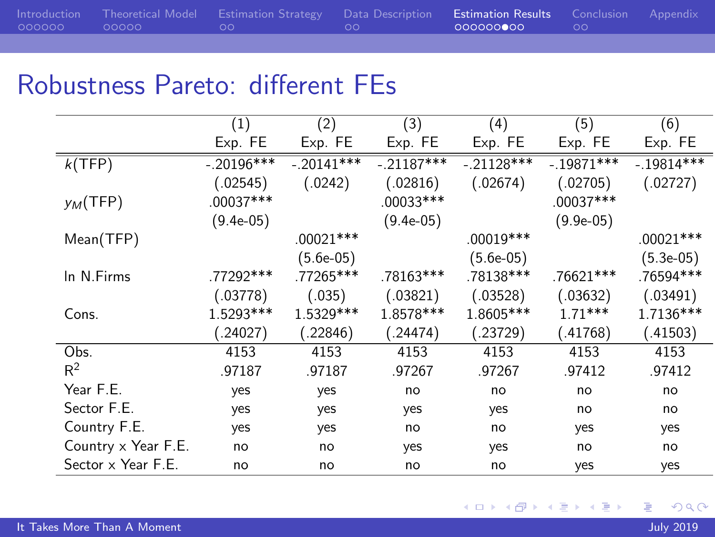|              | Introduction Theoretical Model Estimation Strategy Data Description Estimation Results Conclusion Appendix                                                                                                                           |           |  |
|--------------|--------------------------------------------------------------------------------------------------------------------------------------------------------------------------------------------------------------------------------------|-----------|--|
| 000000 00000 | <u>in the second companies and companies and companies and companies are companied and companies and companies and companies and companies are companies and companies are companies and companies are companies and companies a</u> | 000000000 |  |

## Robustness Pareto: different FEs

|                     | (1)          | (2)          | (3)          | (4)          | (5)          | (6)          |
|---------------------|--------------|--------------|--------------|--------------|--------------|--------------|
|                     | Exp. FE      | Exp. FE      | Exp. FE      | Exp. FE      | Exp. FE      | Exp. FE      |
| k(TFP)              | $-.20196***$ | $-.20141***$ | $-.21187***$ | $-.21128***$ | $-.19871***$ | $-.19814***$ |
|                     | (.02545)     | (.0242)      | (.02816)     | (.02674)     | (.02705)     | (.02727)     |
| $y_M$ (TFP)         | .00037***    |              | .00033***    |              | .00037***    |              |
|                     | $(9.4e-05)$  |              | $(9.4e-05)$  |              | $(9.9e-05)$  |              |
| Mean(TFP)           |              | $.00021***$  |              | .00019 ***   |              | $.00021***$  |
|                     |              | $(5.6e-05)$  |              | $(5.6e-05)$  |              | $(5.3e-05)$  |
| In N.Firms          | .77292***    | .77265***    | .78163***    | .78138***    | $.76621***$  | .76594***    |
|                     | (.03778)     | (.035)       | (.03821)     | (.03528)     | (.03632)     | (.03491)     |
| Cons.               | 1.5293***    | 1.5329 ***   | 1.8578***    | 1.8605***    | $1.71***$    | 1.7136***    |
|                     | .24027)      | (.22846)     | (.24474)     | (.23729)     | (.41768)     | (.41503)     |
| Obs.                | 4153         | 4153         | 4153         | 4153         | 4153         | 4153         |
| $R^2$               | .97187       | .97187       | .97267       | .97267       | .97412       | .97412       |
| Year F.E.           | yes          | yes          | no           | no           | no           | no           |
| Sector F.E.         | yes          | yes          | yes          | yes          | no           | no           |
| Country F.E.        | yes          | yes          | no           | no           | yes          | yes          |
| Country x Year F.E. | no           | no           | yes          | yes          | no           | no           |
| Sector x Year F.E.  | no           | no           | no           | no           | yes          | yes          |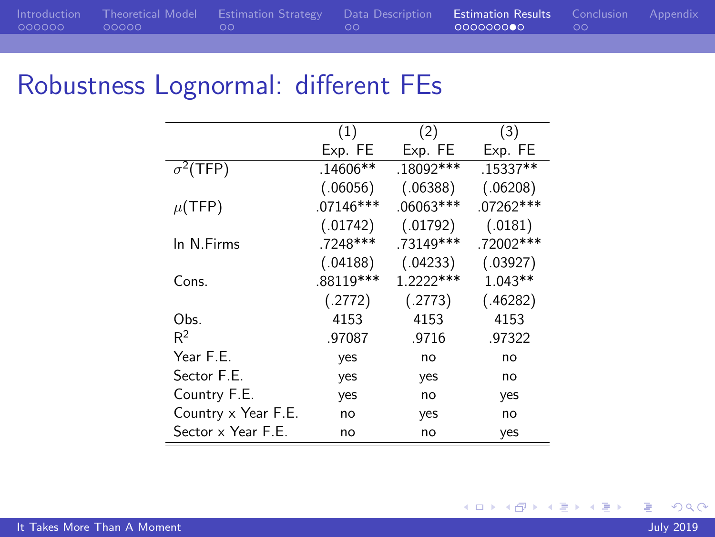| 000000 00000<br>000000000<br><u>in the community of the community of the community of the community of the community of the community of the community of the community of the community of the community of the community of the community of the community </u><br>$\sim$ 00 $\sim$<br>$\sim$ 00 $\sim$ |  | Introduction Theoretical Model Estimation Strategy Data Description Estimation Results Conclusion Appendix |  |  |
|-----------------------------------------------------------------------------------------------------------------------------------------------------------------------------------------------------------------------------------------------------------------------------------------------------------|--|------------------------------------------------------------------------------------------------------------|--|--|
|                                                                                                                                                                                                                                                                                                           |  |                                                                                                            |  |  |

## Robustness Lognormal: different FEs

|                     | (1)         | (2)         | (3)         |
|---------------------|-------------|-------------|-------------|
|                     | Exp. FE     | Exp. FE     | Exp. FE     |
| $\sigma^2$ (TFP)    | $.14606**$  | .18092***   | .15337**    |
|                     | (.06056)    | (.06388)    | (.06208)    |
| $\mu$ (TFP)         | $.07146***$ | $.06063***$ | $.07262***$ |
|                     | (.01742)    | (.01792)    | (.0181)     |
| In N.Firms          | .7248***    | .73149***   | .72002***   |
|                     | (.04188)    | (.04233)    | (.03927)    |
| Cons.               | .88119 ***  | 1.2222***   | $1.043**$   |
|                     | (.2772)     | (.2773)     | (.46282)    |
| Obs.                | 4153        | 4153        | 4153        |
| $R^2$               | .97087      | .9716       | .97322      |
| Year F.E.           | yes         | no          | no          |
| Sector F.E.         | yes         | yes         | no          |
| Country F.E.        | yes         | no          | yes         |
| Country x Year F.E. | no          | yes         | no          |
| Sector x Year F.E.  | no          | no          | yes         |

4日下

E

Ξ 어서 동시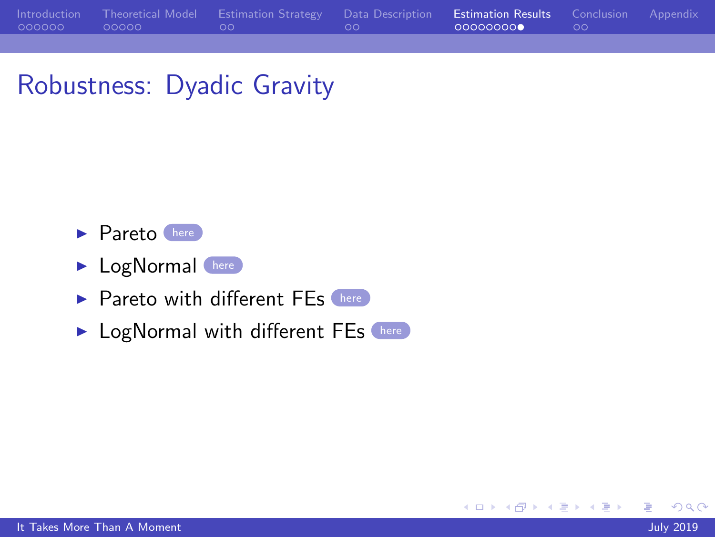|              | Introduction Theoretical Model Estimation Strategy Data Description Estimation Results Conclusion Appendix                                                                                                                                               |                 |  |
|--------------|----------------------------------------------------------------------------------------------------------------------------------------------------------------------------------------------------------------------------------------------------------|-----------------|--|
| 000000 00000 | <u>in the community of the community of the community of the community of the community of the community of the community of the community of the community of the community of the community of the community of the community </u><br>$\sim$ 00 $\sim$ | 000000000 00 00 |  |

## Robustness: Dyadic Gravity

- <span id="page-24-0"></span> $\blacktriangleright$  Pareto [here](#page-29-0)
- **I** LogNormal [here](#page-30-0)
- $\blacktriangleright$  Pareto with different FEs [here](#page-31-0)
- **In LogNormal with different FEs** [here](#page-32-1)

 $200$ 

∍

 $\sim$   $\sim$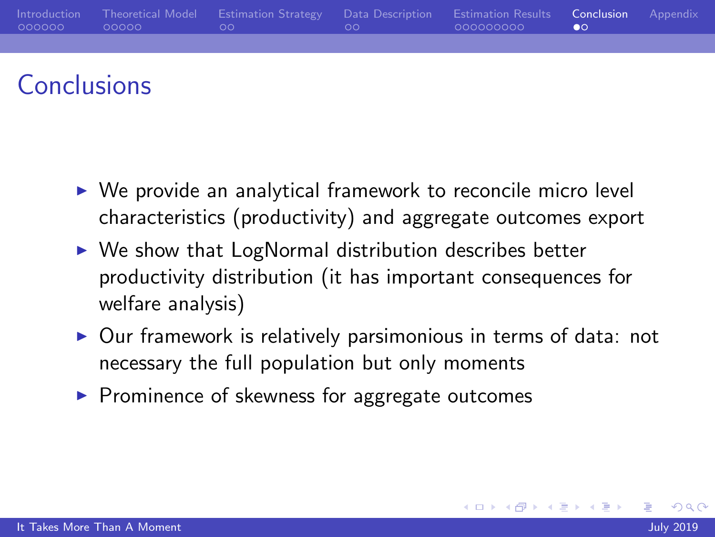<span id="page-25-0"></span>

|                                 | Introduction Theoretical Model Estimation Strategy Data Description Estimation Results Conclusion Appendix |  |  |
|---------------------------------|------------------------------------------------------------------------------------------------------------|--|--|
| $000000$ $00000$ $00$ $00$ $00$ |                                                                                                            |  |  |
|                                 |                                                                                                            |  |  |

#### Conclusions

- $\triangleright$  We provide an analytical framework to reconcile micro level characteristics (productivity) and aggregate outcomes export
- $\triangleright$  We show that LogNormal distribution describes better productivity distribution (it has important consequences for welfare analysis)
- $\triangleright$  Our framework is relatively parsimonious in terms of data: not necessary the full population but only moments
- $\triangleright$  Prominence of skewness for aggregate outcomes

 $\Omega$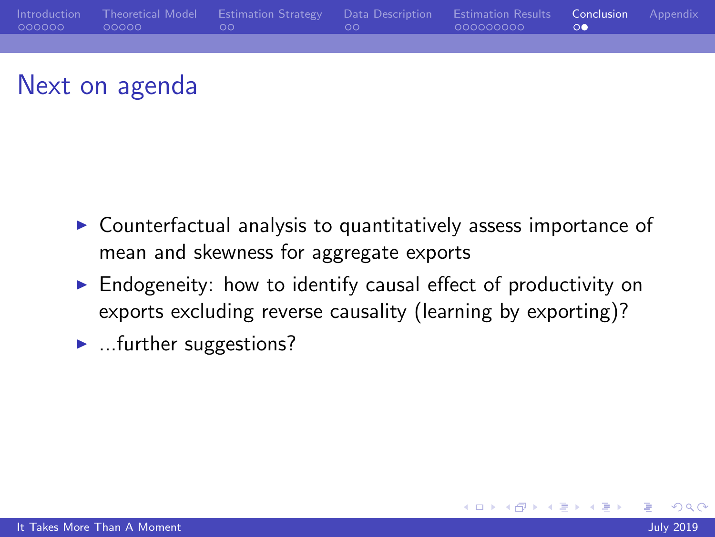<span id="page-26-0"></span>

## Next on agenda

- $\triangleright$  Counterfactual analysis to quantitatively assess importance of mean and skewness for aggregate exports
- $\triangleright$  Endogeneity: how to identify causal effect of productivity on exports excluding reverse causality (learning by exporting)?

4 . EL 19

 $\blacktriangleright$  ... further suggestions?

 $200$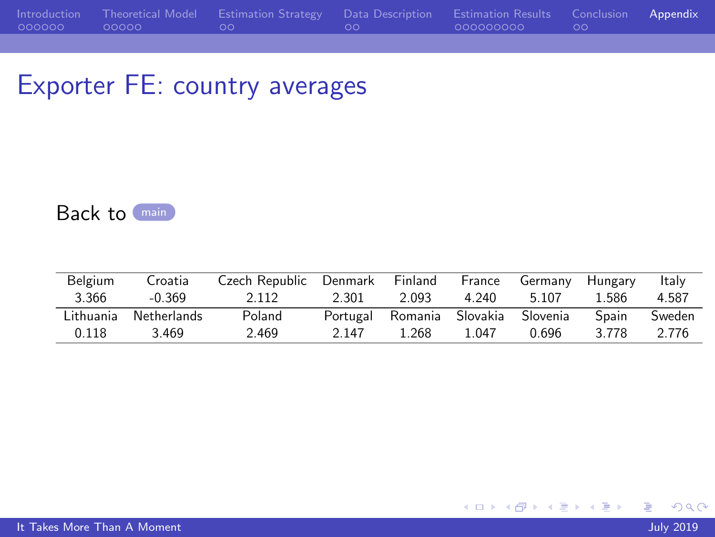### <span id="page-27-0"></span>Exporter FE: country averages

<span id="page-27-1"></span>Back to [main](#page-18-0)

| Belgium   | Croatia     | Czech Republic Denmark |          | Finland          | France | Germany  | Hungary | Italy  |
|-----------|-------------|------------------------|----------|------------------|--------|----------|---------|--------|
| 3.366     | $-0.369$    | 2.112                  | 2.301    | 2.093            | 4.240  | 5.107    | 1.586   | 4.587  |
| Lithuania | Netherlands | Poland                 | Portugal | Romania Slovakia |        | Slovenia | Spain   | Sweden |
| 0.118     | 3.469       | 2.469                  | 2.147    | 1.268            | 1 047  | 0.696    | 3.778   | 2.776  |

 $299$ 

目

メロトメ部 トメミトメミト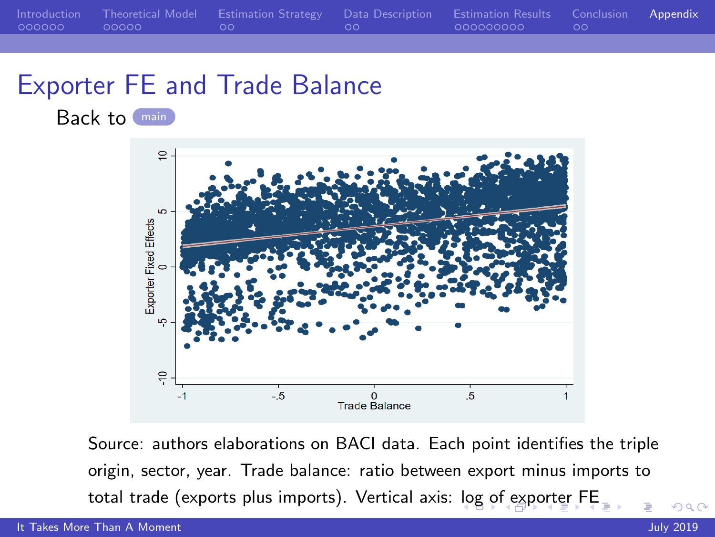<span id="page-28-1"></span>[Introduction](#page-1-0) [Theoretical Model](#page-7-0) [Estimation Strategy](#page-12-0) [Data Description](#page-14-0) [Estimation Results](#page-16-0) [Conclusion](#page-25-0) [Appendix](#page-27-0) 000000000

#### Exporter FE and Trade Balance

<span id="page-28-0"></span>Back to ([main](#page-18-0))



Source: authors elaborations on BACI data. Each point identifies the triple origin, sector, year. Trade balance: ratio between export minus imports to total trade (exports plus imports). Vertical axis: [lo](#page-27-0)g [o](#page-29-1)[f](#page-27-0) [exp](#page-28-1)[o](#page-29-1)[r](#page-26-0)[te](#page-27-0)[r F](#page-32-0)[E](#page-26-0)

 $QQ$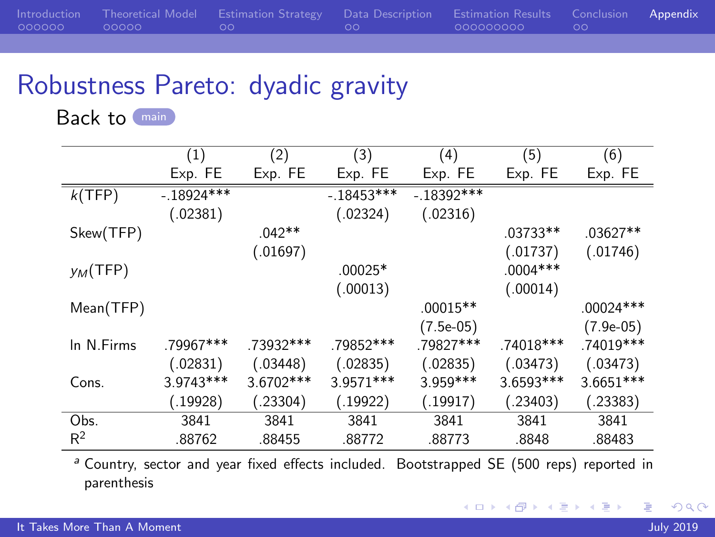<span id="page-29-1"></span>

|              | Introduction Theoretical Model Estimation Strategy Data Description Estimation Results Conclusion Appendix |                           |  |
|--------------|------------------------------------------------------------------------------------------------------------|---------------------------|--|
| 000000 00000 | <u>in the second community of the second second</u>                                                        | - 0000000000 - - - - 00 - |  |

## Robustness Pareto: dyadic gravity

<span id="page-29-0"></span>Back to [main](#page-24-0)

|             | (1)         | (2)       | (3)          | (4)         | (5)        | (6)         |
|-------------|-------------|-----------|--------------|-------------|------------|-------------|
|             | Exp. FE     | Exp. FE   | Exp. FE      | Exp. FE     | Exp. FE    | Exp. FE     |
| k(TFP)      | $-18924***$ |           | $-.18453***$ | $-18392***$ |            |             |
|             | (.02381)    |           | (.02324)     | (.02316)    |            |             |
| Skew(TFP)   |             | $.042**$  |              |             | .03733**   | $.03627**$  |
|             |             | (.01697)  |              |             | (.01737)   | (.01746)    |
| $y_M$ (TFP) |             |           | $.00025*$    |             | $.0004***$ |             |
|             |             |           | (.00013)     |             | (.00014)   |             |
| Mean(TFP)   |             |           |              | $.00015**$  |            | $.00024***$ |
|             |             |           |              | $(7.5e-05)$ |            | $(7.9e-05)$ |
| In N.Firms  | .79967***   | .73932*** | .79852 ***   | .79827***   | .74018 *** | .74019 ***  |
|             | (.02831)    | (.03448)  | (.02835)     | (.02835)    | (.03473)   | (.03473)    |
| Cons.       | 3.9743***   | 3.6702*** | 3.9571***    | $3.959***$  | 3.6593***  | $3.6651***$ |
|             | (.19928)    | (.23304)  | (.19922)     | (.19917)    | (.23403)   | (.23383)    |
| Obs.        | 3841        | 3841      | 3841         | 3841        | 3841       | 3841        |
| $R^2$       | .88762      | .88455    | .88772       | .88773      | .8848      | .88483      |

<sup>a</sup> Country, sector and year fixed effects included. Bootstrapped SE (500 reps) reported in parenthesis

4 17 18

す 何 ト す ヨ ト す ヨ ト

∍

 $299$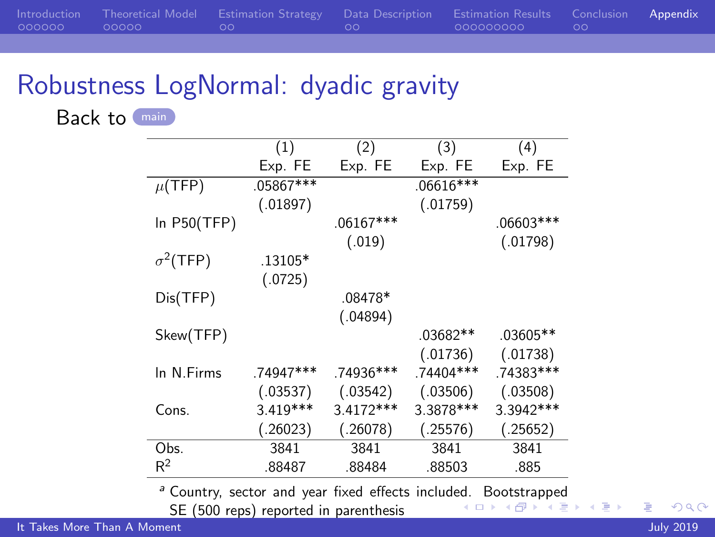<span id="page-30-1"></span>

|              |                            | Introduction Theoretical Model Estimation Strategy Data Description Estimation Results Conclusion Appendix |              |  |
|--------------|----------------------------|------------------------------------------------------------------------------------------------------------|--------------|--|
| 000000 00000 | $\sim$ 00 $\sim$ 00 $\sim$ | <u>in the second community of the second</u>                                                               | COOOOOOOO OO |  |

## Robustness LogNormal: dyadic gravity

<span id="page-30-0"></span>Back to [main](#page-24-0)

|                  | (1)        | (2)         | (3)        | (4)         |
|------------------|------------|-------------|------------|-------------|
|                  | Exp. FE    | Exp. FE     | Exp. FE    | Exp. FE     |
| $\mu$ (TFP)      | .05867***  |             | .06616***  |             |
|                  | (.01897)   |             | (.01759)   |             |
| In $P50(TFP)$    |            | $.06167***$ |            | .06603***   |
|                  |            | (.019)      |            | (.01798)    |
| $\sigma^2$ (TFP) | .13105*    |             |            |             |
|                  | (.0725)    |             |            |             |
| Dis(TFP)         |            | .08478*     |            |             |
|                  |            | (.04894)    |            |             |
| Skew(TFP)        |            |             | .03682**   | .03605**    |
|                  |            |             | (.01736)   | (.01738)    |
| In N.Firms       | .74947***  | .74936***   | .74404***  | .74383***   |
|                  | (.03537)   | (.03542)    | (.03506)   | (.03508)    |
| Cons.            | $3.419***$ | $3.4172***$ | 3.3878 *** | $3.3942***$ |
|                  | (.26023)   | (.26078)    | (.25576)   | (.25652)    |
| Obs.             | 3841       | 3841        | 3841       | 3841        |
| $R^2$            | .88487     | .88484      | .88503     | .885        |

<sup>a</sup> Country, sector and year fixed effects includ[ed.](#page-29-1) [Bo](#page-31-1)[ot](#page-29-1)[str](#page-30-1)[ap](#page-31-1)[p](#page-26-0)[e](#page-27-0)[d](#page-32-0)<br>SE (500 seps) reported in posenthesis

SE (500 reps) reported in parenthesis

 $2990$ 

Þ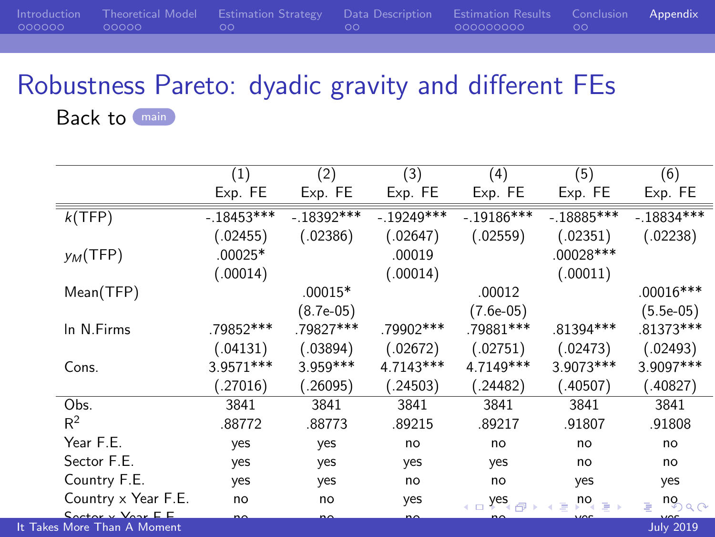<span id="page-31-1"></span>

|  | Introduction Theoretical Model Estimation Strategy Data Description Estimation Results Conclusion Appendix |                           |  |
|--|------------------------------------------------------------------------------------------------------------|---------------------------|--|
|  | $\sim$ 00 $\sim$                                                                                           | - 0000000000 - - - - 00 - |  |
|  |                                                                                                            |                           |  |

# Robustness Pareto: dyadic gravity and different FEs

<span id="page-31-0"></span>Back to [main](#page-24-0)

|                                                   | (1)          | (2)          | (3)          | (4)              | (5)                             | (6)              |
|---------------------------------------------------|--------------|--------------|--------------|------------------|---------------------------------|------------------|
|                                                   | Exp. FE      | Exp. FE      | Exp. FE      | Exp. FE          | Exp. FE                         | Exp. FE          |
| k(TFP)                                            | $-.18453***$ | $-.18392***$ | $-.19249***$ | $-.19186***$     | $-.18885***$                    | $-.18834***$     |
|                                                   | (.02455)     | (.02386)     | (.02647)     | (.02559)         | (.02351)                        | (.02238)         |
| $y_M$ (TFP)                                       | $.00025*$    |              | .00019       |                  | .00028 ***                      |                  |
|                                                   | (.00014)     |              | (.00014)     |                  | (.00011)                        |                  |
| Mean(TFP)                                         |              | $.00015*$    |              | .00012           |                                 | $.00016***$      |
|                                                   |              | $(8.7e-05)$  |              | $(7.6e-05)$      |                                 | $(5.5e-05)$      |
| In N.Firms                                        | .79852***    | .79827***    | .79902***    | .79881 ***       | .81394 ***                      | .81373 ***       |
|                                                   | (.04131)     | (.03894)     | (.02672)     | (.02751)         | (.02473)                        | (.02493)         |
| Cons.                                             | 3.9571 ***   | 3.959 ***    | 4.7143***    | 4.7149***        | 3.9073 ***                      | 3.9097***        |
|                                                   | (.27016)     | (.26095)     | (.24503)     | (.24482)         | (.40507)                        | (.40827)         |
| Obs.                                              | 3841         | 3841         | 3841         | 3841             | 3841                            | 3841             |
| $R^2$                                             | .88772       | .88773       | .89215       | .89217           | .91807                          | .91808           |
| Year F.E.                                         | yes          | yes          | no           | no               | no                              | no               |
| Sector F.E.                                       | yes          | yes          | yes          | yes              | no                              | no               |
| Country F.E.                                      | yes          | yes          | no           | no               | yes                             | yes              |
| Country x Year F.E.                               | no           | no           | yes          | yes <sub>e</sub> | $p^{\mathsf{no}} \rightarrow p$ | nọ               |
| $Contextov \vee \text{Vov} \mathsf{E} \mathsf{E}$ | no           |              |              |                  |                                 |                  |
| It Takes More Than A Moment                       |              |              |              |                  |                                 | <b>July 2019</b> |